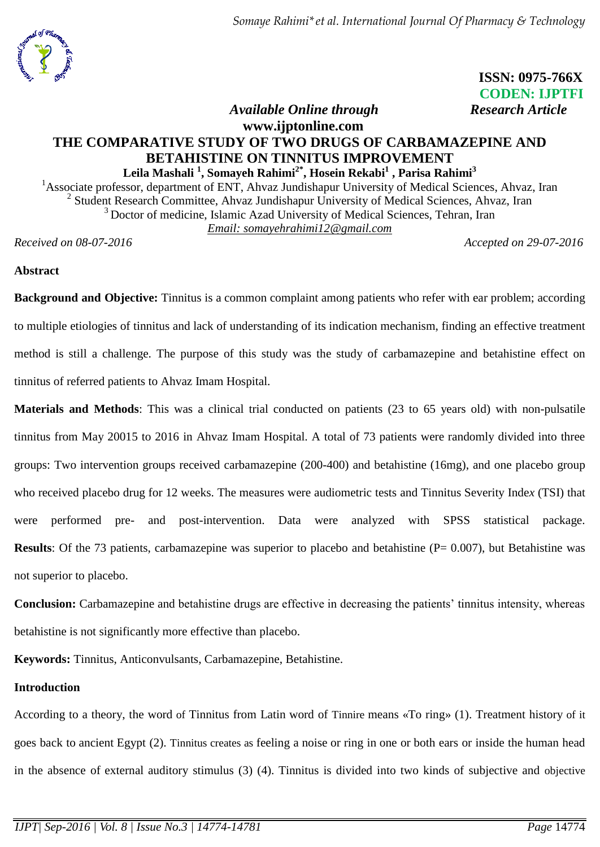

 **ISSN: 0975-766X CODEN: IJPTFI** *<i>Available Online through* Research Article

# **www.ijptonline.com THE COMPARATIVE STUDY OF TWO DRUGS OF CARBAMAZEPINE AND BETAHISTINE ON TINNITUS IMPROVEMENT**

**Leila Mashali <sup>1</sup> , Somayeh Rahimi2\*, Hosein Rekabi<sup>1</sup> , Parisa Rahimi<sup>3</sup>** <sup>1</sup>Associate professor, department of ENT, Ahvaz Jundishapur University of Medical Sciences, Ahvaz, Iran 2 Student Research Committee, Ahvaz Jundishapur University of Medical Sciences, Ahvaz, Iran <sup>3</sup> Doctor of medicine, Islamic Azad University of Medical Sciences, Tehran, Iran *Email: [somayehrahimi12@gmail.com](mailto:somayehrahimi12@gmail.com)*

*Received on 08-07-2016 Accepted on 29-07-2016*

## **Abstract**

**Background and Objective:** Tinnitus is a common complaint among patients who refer with ear problem; according to multiple etiologies of tinnitus and lack of understanding of its indication mechanism, finding an effective treatment method is still a challenge. The purpose of this study was the study of carbamazepine and betahistine effect on tinnitus of referred patients to Ahvaz Imam Hospital.

**Materials and Methods**: This was a clinical trial conducted on patients (23 to 65 years old) with non-pulsatile tinnitus from May 20015 to 2016 in Ahvaz Imam Hospital. A total of 73 patients were randomly divided into three groups: Two intervention groups received carbamazepine (200-400) and betahistine (16mg), and one placebo group who received placebo drug for 12 weeks. The measures were audiometric tests and Tinnitus Severity Inde*x* (TSI) that were performed pre- and post-intervention. Data were analyzed with SPSS statistical package. **Results**: Of the 73 patients, carbamazepine was superior to placebo and betahistine (P= 0.007), but Betahistine was not superior to placebo.

**Conclusion:** Carbamazepine and betahistine drugs are effective in decreasing the patients' tinnitus intensity, whereas betahistine is not significantly more effective than placebo.

**Keywords:** Tinnitus, Anticonvulsants, Carbamazepine, Betahistine.

# **Introduction**

According to a theory, the word of Tinnitus from Latin word of Tinnire means «To ring» (1). Treatment history of it goes back to ancient Egypt (2). Tinnitus creates as feeling a noise or ring in one or both ears or inside the human head in the absence of external auditory stimulus (3) (4). Tinnitus is divided into two kinds of subjective and objective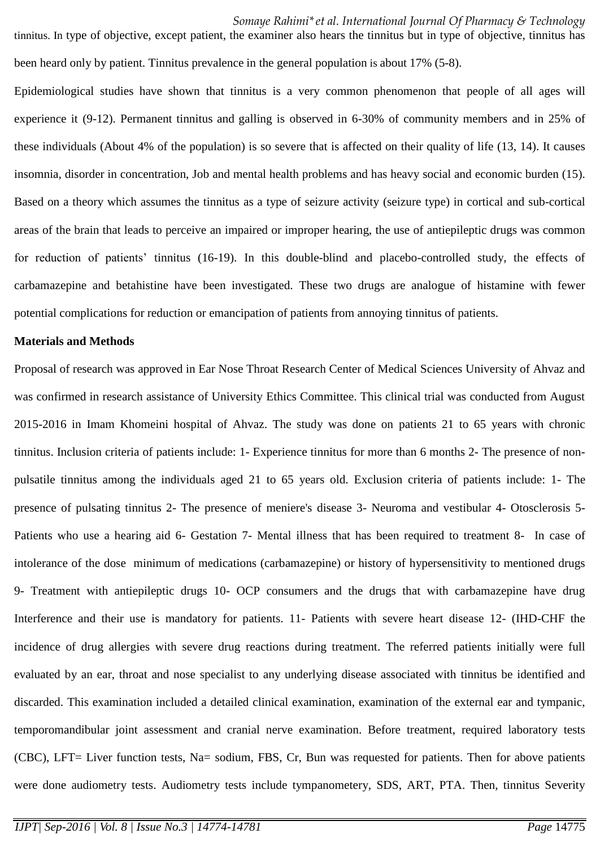tinnitus. In type of objective, except patient, the examiner also hears the tinnitus but in type of objective, tinnitus has been heard only by patient. Tinnitus prevalence in the general population is about 17% (5-8).

Epidemiological studies have shown that tinnitus is a very common phenomenon that people of all ages will experience it (9-12). Permanent tinnitus and galling is observed in 6-30% of community members and in 25% of these individuals (About 4% of the population) is so severe that is affected on their quality of life (13, 14). It causes insomnia, disorder in concentration, Job and mental health problems and has heavy social and economic burden (15). Based on a theory which assumes the tinnitus as a type of seizure activity (seizure type) in cortical and sub-cortical areas of the brain that leads to perceive an impaired or improper hearing, the use of antiepileptic drugs was common for reduction of patients' tinnitus (16-19). In this double-blind and placebo-controlled study, the effects of carbamazepine and betahistine have been investigated. These two drugs are analogue of histamine with fewer potential complications for reduction or emancipation of patients from annoying tinnitus of patients.

#### **Materials and Methods**

Proposal of research was approved in Ear Nose Throat Research Center of Medical Sciences University of Ahvaz and was confirmed in research assistance of University Ethics Committee. This clinical trial was conducted from August 2015-2016 in Imam Khomeini hospital of Ahvaz. The study was done on patients 21 to 65 years with chronic tinnitus. Inclusion criteria of patients include: 1- Experience tinnitus for more than 6 months 2- The presence of nonpulsatile tinnitus among the individuals aged 21 to 65 years old. Exclusion criteria of patients include: 1- The presence of pulsating tinnitus 2- The presence of meniere's disease 3- Neuroma and vestibular 4- Otosclerosis 5- Patients who use a hearing aid 6- Gestation 7- Mental illness that has been required to treatment 8- In case of intolerance of the dose minimum of medications (carbamazepine) or history of hypersensitivity to mentioned drugs 9- Treatment with antiepileptic drugs 10- OCP consumers and the drugs that with carbamazepine have drug Interference and their use is mandatory for patients. 11- Patients with severe heart disease 12- (IHD-CHF the incidence of drug allergies with severe drug reactions during treatment. The referred patients initially were full evaluated by an ear, throat and nose specialist to any underlying disease associated with tinnitus be identified and discarded. This examination included a detailed clinical examination, examination of the external ear and tympanic, temporomandibular joint assessment and cranial nerve examination. Before treatment, required laboratory tests (CBC), LFT= Liver function tests, Na= sodium, FBS, Cr, Bun was requested for patients. Then for above patients were done audiometry tests. Audiometry tests include tympanometery, SDS, ART, PTA. Then, tinnitus Severity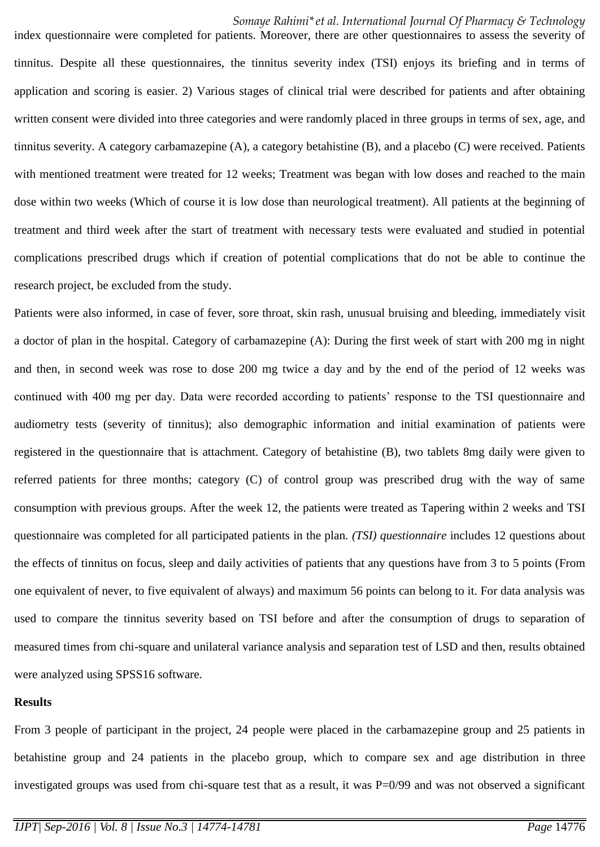index questionnaire were completed for patients. Moreover, there are other questionnaires to assess the severity of tinnitus. Despite all these questionnaires, the tinnitus severity index (TSI) enjoys its briefing and in terms of application and scoring is easier. 2) Various stages of clinical trial were described for patients and after obtaining written consent were divided into three categories and were randomly placed in three groups in terms of sex, age, and tinnitus severity. A category carbamazepine (A), a category betahistine (B), and a placebo (C) were received. Patients with mentioned treatment were treated for 12 weeks; Treatment was began with low doses and reached to the main dose within two weeks (Which of course it is low dose than neurological treatment). All patients at the beginning of treatment and third week after the start of treatment with necessary tests were evaluated and studied in potential complications prescribed drugs which if creation of potential complications that do not be able to continue the research project, be excluded from the study.

Patients were also informed, in case of fever, sore throat, skin rash, unusual bruising and bleeding, immediately visit a doctor of plan in the hospital. Category of carbamazepine (A): During the first week of start with 200 mg in night and then, in second week was rose to dose 200 mg twice a day and by the end of the period of 12 weeks was continued with 400 mg per day. Data were recorded according to patients' response to the TSI questionnaire and audiometry tests (severity of tinnitus); also demographic information and initial examination of patients were registered in the questionnaire that is attachment. Category of betahistine (B), two tablets 8mg daily were given to referred patients for three months; category (C) of control group was prescribed drug with the way of same consumption with previous groups. After the week 12, the patients were treated as Tapering within 2 weeks and TSI questionnaire was completed for all participated patients in the plan. *(TSI) questionnaire* includes 12 questions about the effects of tinnitus on focus, sleep and daily activities of patients that any questions have from 3 to 5 points (From one equivalent of never, to five equivalent of always) and maximum 56 points can belong to it. For data analysis was used to compare the tinnitus severity based on TSI before and after the consumption of drugs to separation of measured times from chi-square and unilateral variance analysis and separation test of LSD and then, results obtained were analyzed using SPSS16 software.

### **Results**

From 3 people of participant in the project, 24 people were placed in the carbamazepine group and 25 patients in betahistine group and 24 patients in the placebo group, which to compare sex and age distribution in three investigated groups was used from chi-square test that as a result, it was P=0/99 and was not observed a significant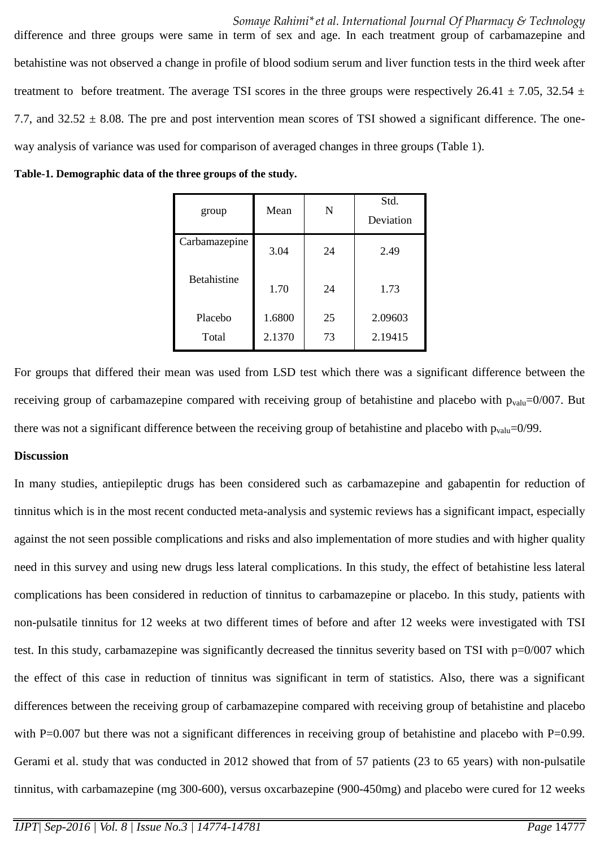difference and three groups were same in term of sex and age. In each treatment group of carbamazepine and betahistine was not observed a change in profile of blood sodium serum and liver function tests in the third week after treatment to before treatment. The average TSI scores in the three groups were respectively 26.41  $\pm$  7.05, 32.54  $\pm$ 7.7, and  $32.52 \pm 8.08$ . The pre and post intervention mean scores of TSI showed a significant difference. The oneway analysis of variance was used for comparison of averaged changes in three groups (Table 1).

**Table-1. Demographic data of the three groups of the study.**

| group              | Mean   | N  | Std.<br>Deviation |
|--------------------|--------|----|-------------------|
| Carbamazepine      | 3.04   | 24 | 2.49              |
| <b>Betahistine</b> | 1.70   | 24 | 1.73              |
| Placebo            | 1.6800 | 25 | 2.09603           |
| Total              | 2.1370 | 73 | 2.19415           |

For groups that differed their mean was used from LSD test which there was a significant difference between the receiving group of carbamazepine compared with receiving group of betahistine and placebo with  $p_{\text{valu}}=0/007$ . But there was not a significant difference between the receiving group of betahistine and placebo with  $p_{\text{value}}=0/99$ .

#### **Discussion**

In many studies, antiepileptic drugs has been considered such as carbamazepine and gabapentin for reduction of tinnitus which is in the most recent conducted meta-analysis and systemic reviews has a significant impact, especially against the not seen possible complications and risks and also implementation of more studies and with higher quality need in this survey and using new drugs less lateral complications. In this study, the effect of betahistine less lateral complications has been considered in reduction of tinnitus to carbamazepine or placebo. In this study, patients with non-pulsatile tinnitus for 12 weeks at two different times of before and after 12 weeks were investigated with TSI test. In this study, carbamazepine was significantly decreased the tinnitus severity based on TSI with p=0/007 which the effect of this case in reduction of tinnitus was significant in term of statistics. Also, there was a significant differences between the receiving group of carbamazepine compared with receiving group of betahistine and placebo with P=0.007 but there was not a significant differences in receiving group of betahistine and placebo with P=0.99. Gerami et al. study that was conducted in 2012 showed that from of 57 patients (23 to 65 years) with non-pulsatile tinnitus, with carbamazepine (mg 300-600), versus oxcarbazepine (900-450mg) and placebo were cured for 12 weeks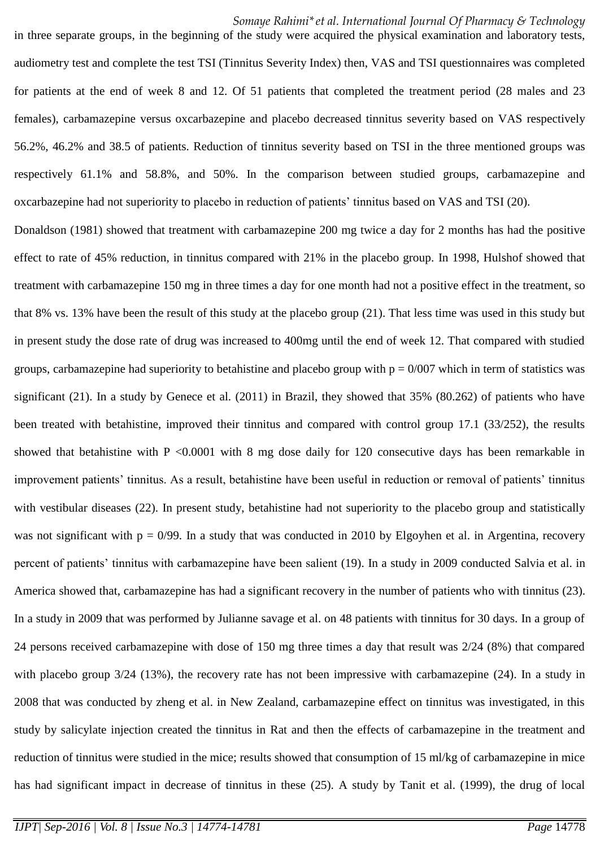*Somaye Rahimi\*et al. International Journal Of Pharmacy & Technology*

audiometry test and complete the test TSI (Tinnitus Severity Index) then, VAS and TSI questionnaires was completed for patients at the end of week 8 and 12. Of 51 patients that completed the treatment period (28 males and 23 females), carbamazepine versus oxcarbazepine and placebo decreased tinnitus severity based on VAS respectively 56.2%, 46.2% and 38.5 of patients. Reduction of tinnitus severity based on TSI in the three mentioned groups was respectively 61.1% and 58.8%, and 50%. In the comparison between studied groups, carbamazepine and oxcarbazepine had not superiority to placebo in reduction of patients' tinnitus based on VAS and TSI (20).

in three separate groups, in the beginning of the study were acquired the physical examination and laboratory tests,

Donaldson (1981) showed that treatment with carbamazepine 200 mg twice a day for 2 months has had the positive effect to rate of 45% reduction, in tinnitus compared with 21% in the placebo group. In 1998, Hulshof showed that treatment with carbamazepine 150 mg in three times a day for one month had not a positive effect in the treatment, so that 8% vs. 13% have been the result of this study at the placebo group (21). That less time was used in this study but in present study the dose rate of drug was increased to 400mg until the end of week 12. That compared with studied groups, carbamazepine had superiority to betahistine and placebo group with  $p = 0/007$  which in term of statistics was significant (21). In a study by Genece et al. (2011) in Brazil, they showed that 35% (80.262) of patients who have been treated with betahistine, improved their tinnitus and compared with control group 17.1 (33/252), the results showed that betahistine with P <0.0001 with 8 mg dose daily for 120 consecutive days has been remarkable in improvement patients' tinnitus. As a result, betahistine have been useful in reduction or removal of patients' tinnitus with vestibular diseases (22). In present study, betahistine had not superiority to the placebo group and statistically was not significant with  $p = 0/99$ . In a study that was conducted in 2010 by Elgoyhen et al. in Argentina, recovery percent of patients' tinnitus with carbamazepine have been salient (19). In a study in 2009 conducted Salvia et al. in America showed that, carbamazepine has had a significant recovery in the number of patients who with tinnitus (23). In a study in 2009 that was performed by Julianne savage et al. on 48 patients with tinnitus for 30 days. In a group of 24 persons received carbamazepine with dose of 150 mg three times a day that result was 2/24 (8%) that compared with placebo group  $3/24$  (13%), the recovery rate has not been impressive with carbamazepine (24). In a study in 2008 that was conducted by zheng et al. in New Zealand, carbamazepine effect on tinnitus was investigated, in this study by salicylate injection created the tinnitus in Rat and then the effects of carbamazepine in the treatment and reduction of tinnitus were studied in the mice; results showed that consumption of 15 ml/kg of carbamazepine in mice has had significant impact in decrease of tinnitus in these (25). A study by Tanit et al. (1999), the drug of local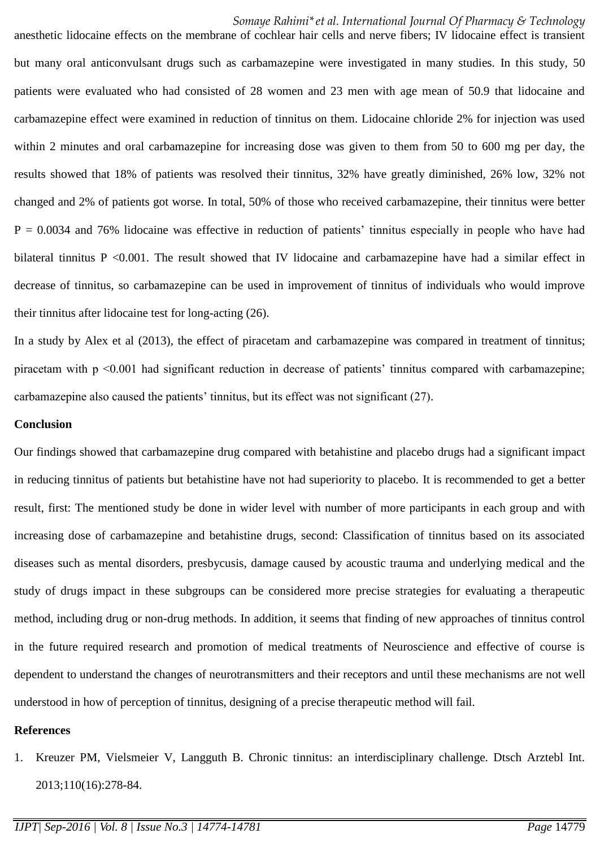#### *Somaye Rahimi\*et al. International Journal Of Pharmacy & Technology*

anesthetic lidocaine effects on the membrane of cochlear hair cells and nerve fibers; IV lidocaine effect is transient but many oral anticonvulsant drugs such as carbamazepine were investigated in many studies. In this study, 50 patients were evaluated who had consisted of 28 women and 23 men with age mean of 50.9 that lidocaine and carbamazepine effect were examined in reduction of tinnitus on them. Lidocaine chloride 2% for injection was used within 2 minutes and oral carbamazepine for increasing dose was given to them from 50 to 600 mg per day, the results showed that 18% of patients was resolved their tinnitus, 32% have greatly diminished, 26% low, 32% not changed and 2% of patients got worse. In total, 50% of those who received carbamazepine, their tinnitus were better  $P = 0.0034$  and 76% lidocaine was effective in reduction of patients' tinnitus especially in people who have had bilateral tinnitus P <0.001. The result showed that IV lidocaine and carbamazepine have had a similar effect in decrease of tinnitus, so carbamazepine can be used in improvement of tinnitus of individuals who would improve their tinnitus after lidocaine test for long-acting (26).

In a study by Alex et al (2013), the effect of piracetam and carbamazepine was compared in treatment of tinnitus; piracetam with p <0.001 had significant reduction in decrease of patients' tinnitus compared with carbamazepine; carbamazepine also caused the patients' tinnitus, but its effect was not significant (27).

#### **Conclusion**

Our findings showed that carbamazepine drug compared with betahistine and placebo drugs had a significant impact in reducing tinnitus of patients but betahistine have not had superiority to placebo. It is recommended to get a better result, first: The mentioned study be done in wider level with number of more participants in each group and with increasing dose of carbamazepine and betahistine drugs, second: Classification of tinnitus based on its associated diseases such as mental disorders, presbycusis, damage caused by acoustic trauma and underlying medical and the study of drugs impact in these subgroups can be considered more precise strategies for evaluating a therapeutic method, including drug or non-drug methods. In addition, it seems that finding of new approaches of tinnitus control in the future required research and promotion of medical treatments of Neuroscience and effective of course is dependent to understand the changes of neurotransmitters and their receptors and until these mechanisms are not well understood in how of perception of tinnitus, designing of a precise therapeutic method will fail.

#### **References**

1. Kreuzer PM, Vielsmeier V, Langguth B. Chronic tinnitus: an interdisciplinary challenge. Dtsch Arztebl Int. 2013;110(16):278-84.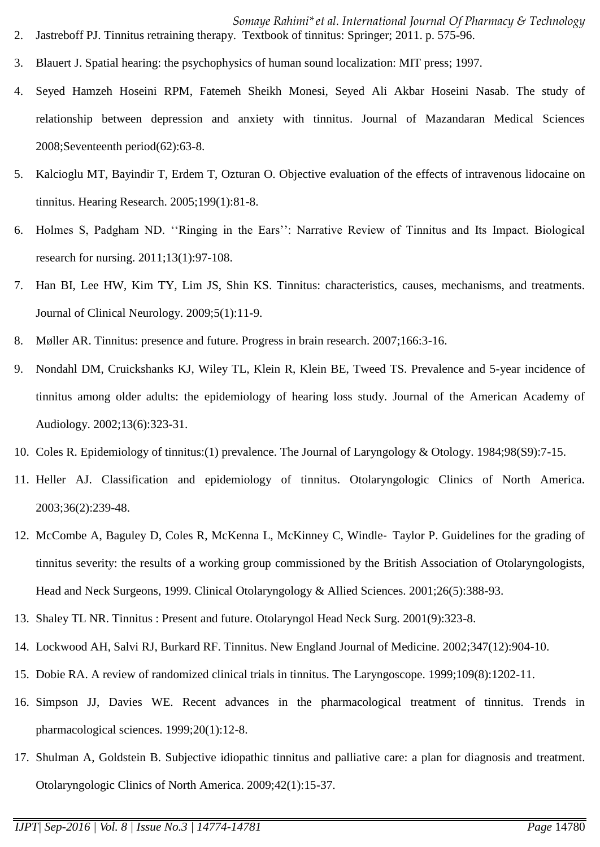- *Somaye Rahimi\*et al. International Journal Of Pharmacy & Technology* 2. Jastreboff PJ. Tinnitus retraining therapy. Textbook of tinnitus: Springer; 2011. p. 575-96.
- 3. Blauert J. Spatial hearing: the psychophysics of human sound localization: MIT press; 1997.
- 4. Seyed Hamzeh Hoseini RPM, Fatemeh Sheikh Monesi, Seyed Ali Akbar Hoseini Nasab. The study of relationship between depression and anxiety with tinnitus. Journal of Mazandaran Medical Sciences 2008;Seventeenth period(62):63-8.
- 5. Kalcioglu MT, Bayindir T, Erdem T, Ozturan O. Objective evaluation of the effects of intravenous lidocaine on tinnitus. Hearing Research. 2005;199(1):81-8.
- 6. Holmes S, Padgham ND. ''Ringing in the Ears'': Narrative Review of Tinnitus and Its Impact. Biological research for nursing. 2011;13(1):97-108.
- 7. Han BI, Lee HW, Kim TY, Lim JS, Shin KS. Tinnitus: characteristics, causes, mechanisms, and treatments. Journal of Clinical Neurology. 2009;5(1):11-9.
- 8. Møller AR. Tinnitus: presence and future. Progress in brain research. 2007;166:3-16.
- 9. Nondahl DM, Cruickshanks KJ, Wiley TL, Klein R, Klein BE, Tweed TS. Prevalence and 5-year incidence of tinnitus among older adults: the epidemiology of hearing loss study. Journal of the American Academy of Audiology. 2002;13(6):323-31.
- 10. Coles R. Epidemiology of tinnitus:(1) prevalence. The Journal of Laryngology & Otology. 1984;98(S9):7-15.
- 11. Heller AJ. Classification and epidemiology of tinnitus. Otolaryngologic Clinics of North America. 2003;36(2):239-48.
- 12. McCombe A, Baguley D, Coles R, McKenna L, McKinney C, Windle‐ Taylor P. Guidelines for the grading of tinnitus severity: the results of a working group commissioned by the British Association of Otolaryngologists, Head and Neck Surgeons, 1999. Clinical Otolaryngology & Allied Sciences. 2001;26(5):388-93.
- 13. Shaley TL NR. Tinnitus : Present and future. Otolaryngol Head Neck Surg. 2001(9):323-8.
- 14. Lockwood AH, Salvi RJ, Burkard RF. Tinnitus. New England Journal of Medicine. 2002;347(12):904-10.
- 15. Dobie RA. A review of randomized clinical trials in tinnitus. The Laryngoscope. 1999;109(8):1202-11.
- 16. Simpson JJ, Davies WE. Recent advances in the pharmacological treatment of tinnitus. Trends in pharmacological sciences. 1999;20(1):12-8.
- 17. Shulman A, Goldstein B. Subjective idiopathic tinnitus and palliative care: a plan for diagnosis and treatment. Otolaryngologic Clinics of North America. 2009;42(1):15-37.